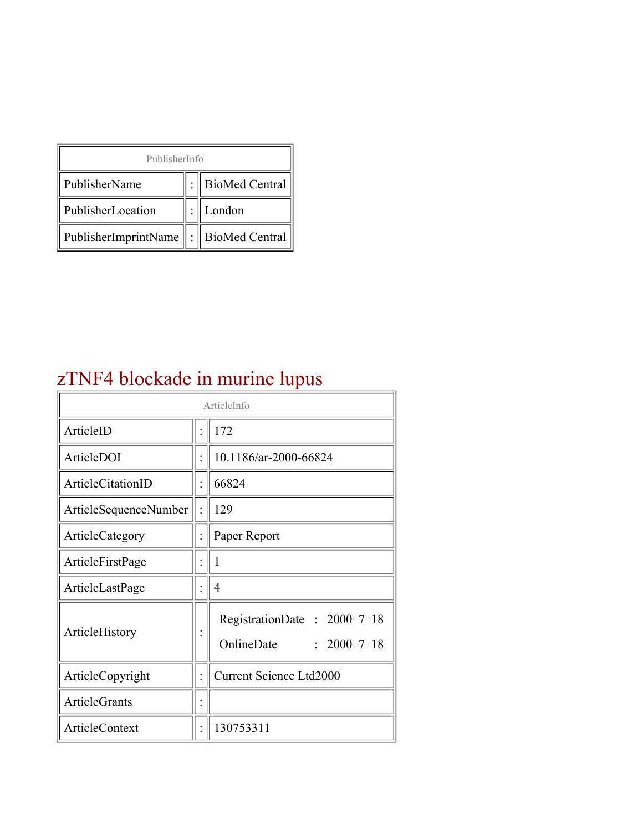| PublisherInfo                               |  |                    |  |  |
|---------------------------------------------|--|--------------------|--|--|
| PublisherName                               |  | :   BioMed Central |  |  |
| PublisherLocation                           |  | London             |  |  |
| PublisherImprintName    :    BioMed Central |  |                    |  |  |

# zTNF4 blockade in murine lupus

| ArticleInfo           |  |                                                                |
|-----------------------|--|----------------------------------------------------------------|
| ArticleID             |  | 172                                                            |
| ArticleDOI            |  | 10.1186/ar-2000-66824                                          |
| ArticleCitationID     |  | 66824                                                          |
| ArticleSequenceNumber |  | 129                                                            |
| ArticleCategory       |  | Paper Report                                                   |
| ArticleFirstPage      |  | I                                                              |
| ArticleLastPage       |  | 4                                                              |
| ArticleHistory        |  | RegistrationDate: 2000-7-18<br>OnlineDate<br>$: 2000 - 7 - 18$ |
| ArticleCopyright      |  | <b>Current Science Ltd2000</b>                                 |
| <b>ArticleGrants</b>  |  |                                                                |
| ArticleContext        |  | 130753311                                                      |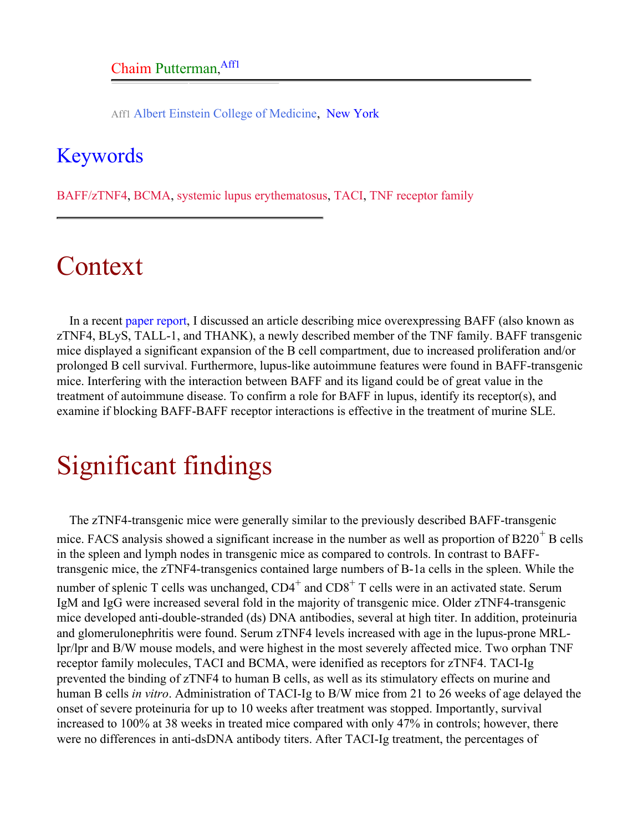Aff1 Albert Einstein College of Medicine, New York

### <span id="page-1-0"></span>Keywords

BAFF/zTNF4, BCMA, systemic lupus erythematosus, TACI, TNF receptor family

# Context

In a recent [paper report,](http://arthritis-research.com/paperreport/ar-2000-66795) I discussed an article describing mice overexpressing BAFF (also known as zTNF4, BLyS, TALL-1, and THANK), a newly described member of the TNF family. BAFF transgenic mice displayed a significant expansion of the B cell compartment, due to increased proliferation and/or prolonged B cell survival. Furthermore, lupus-like autoimmune features were found in BAFF-transgenic mice. Interfering with the interaction between BAFF and its ligand could be of great value in the treatment of autoimmune disease. To confirm a role for BAFF in lupus, identify its receptor(s), and examine if blocking BAFF-BAFF receptor interactions is effective in the treatment of murine SLE.

# Significant findings

The zTNF4-transgenic mice were generally similar to the previously described BAFF-transgenic mice. FACS analysis showed a significant increase in the number as well as proportion of  $B220<sup>+</sup> B$  cells in the spleen and lymph nodes in transgenic mice as compared to controls. In contrast to BAFFtransgenic mice, the zTNF4-transgenics contained large numbers of B-1a cells in the spleen. While the number of splenic T cells was unchanged,  $CD4^+$  and  $CD8^+$  T cells were in an activated state. Serum IgM and IgG were increased several fold in the majority of transgenic mice. Older zTNF4-transgenic mice developed anti-double-stranded (ds) DNA antibodies, several at high titer. In addition, proteinuria and glomerulonephritis were found. Serum zTNF4 levels increased with age in the lupus-prone MRLlpr/lpr and B/W mouse models, and were highest in the most severely affected mice. Two orphan TNF receptor family molecules, TACI and BCMA, were idenified as receptors for zTNF4. TACI-Ig prevented the binding of zTNF4 to human B cells, as well as its stimulatory effects on murine and human B cells *in vitro*. Administration of TACI-Ig to B/W mice from 21 to 26 weeks of age delayed the onset of severe proteinuria for up to 10 weeks after treatment was stopped. Importantly, survival increased to 100% at 38 weeks in treated mice compared with only 47% in controls; however, there were no differences in anti-dsDNA antibody titers. After TACI-Ig treatment, the percentages of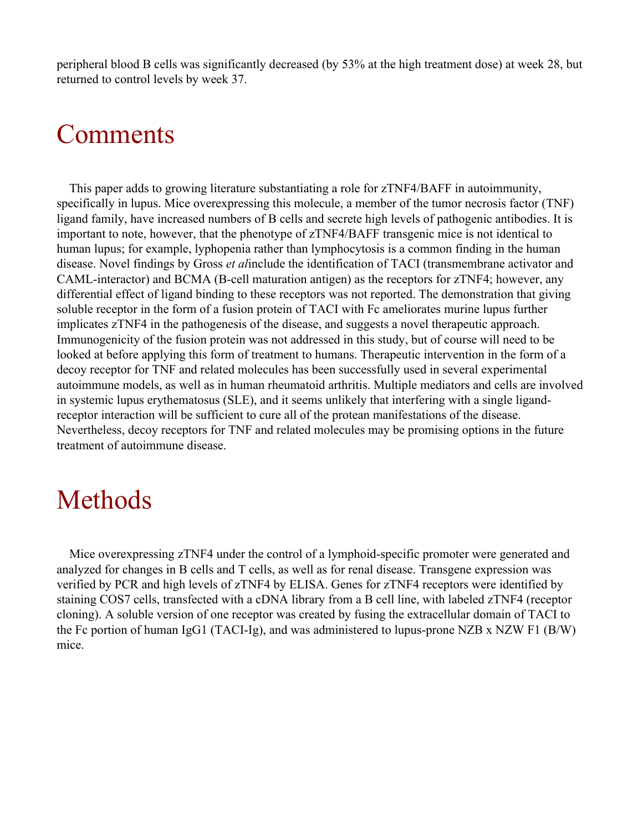peripheral blood B cells was significantly decreased (by 53% at the high treatment dose) at week 28, but returned to control levels by week 37.

## Comments

This paper adds to growing literature substantiating a role for zTNF4/BAFF in autoimmunity, specifically in lupus. Mice overexpressing this molecule, a member of the tumor necrosis factor (TNF) ligand family, have increased numbers of B cells and secrete high levels of pathogenic antibodies. It is important to note, however, that the phenotype of zTNF4/BAFF transgenic mice is not identical to human lupus; for example, lyphopenia rather than lymphocytosis is a common finding in the human disease. Novel findings by Gross *et al*include the identification of TACI (transmembrane activator and CAML-interactor) and BCMA (B-cell maturation antigen) as the receptors for zTNF4; however, any differential effect of ligand binding to these receptors was not reported. The demonstration that giving soluble receptor in the form of a fusion protein of TACI with Fc ameliorates murine lupus further implicates zTNF4 in the pathogenesis of the disease, and suggests a novel therapeutic approach. Immunogenicity of the fusion protein was not addressed in this study, but of course will need to be looked at before applying this form of treatment to humans. Therapeutic intervention in the form of a decoy receptor for TNF and related molecules has been successfully used in several experimental autoimmune models, as well as in human rheumatoid arthritis. Multiple mediators and cells are involved in systemic lupus erythematosus (SLE), and it seems unlikely that interfering with a single ligandreceptor interaction will be sufficient to cure all of the protean manifestations of the disease. Nevertheless, decoy receptors for TNF and related molecules may be promising options in the future treatment of autoimmune disease.

### Methods

Mice overexpressing zTNF4 under the control of a lymphoid-specific promoter were generated and analyzed for changes in B cells and T cells, as well as for renal disease. Transgene expression was verified by PCR and high levels of zTNF4 by ELISA. Genes for zTNF4 receptors were identified by staining COS7 cells, transfected with a cDNA library from a B cell line, with labeled zTNF4 (receptor cloning). A soluble version of one receptor was created by fusing the extracellular domain of TACI to the Fc portion of human IgG1 (TACI-Ig), and was administered to lupus-prone NZB x NZW F1 (B/W) mice.